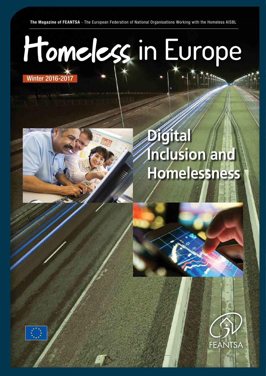**The Magazine of FEANTSA** - The European Federation of National Organisations Working with the Homeless AISBL

# Winter 2016-2017 Homeless in Europe





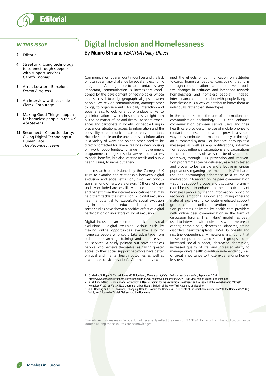

## *IN THIS ISSUE*

- 2 Editorial
- StreetLink: Using technology [to connect rough sleepers](#page-3-0)  [with support services](#page-3-0) *[Gareth Thomas](#page-3-0)*
- 6 [Arrels Locator Barcelona](#page-5-0) *[Ferran Busquets](#page-5-0)*
- 7 [An Interview with Lucie de](#page-6-0)  [Clerck, Entourage](#page-6-0)
- 9 [Making Good Things happen](#page-8-0)  [for homeless people in the UK](#page-8-0) *[Abi Stevens](#page-8-0)*
- 12 Reconnect Cloud Solidarity: [Giving Digital Technology a](#page-11-0)  [Human Face](#page-11-0) *[The Reconnect Team](#page-11-0)*

# **Digital Inclusion and Homelessness**

By **Mauro Striano**, *FEANTSA Policy Officer*

Communication is paramount in our lives and the lack of it can be a major challenge for social and economic integration. Although face-to-face contact is very important, communication is increasingly conditioned by the development of technologies whose main success is to bridge geographical gaps between people. We rely on communication, amongst other things, to organise events, for daily interaction and social affairs, to look for a job or a place to live, to get information – which in some cases might turn out to be matter of life and death - to share experiences and participate in society. For people living in precarious situations, access to information and the possibility to communicate can be very important. Homeless people on the one hand seek information in a variety of ways and on the other need to be directly contacted for several reasons - new housing or work opportunities, change in government programmes, changes in social law related to access to social benefits, but also vaccine recalls and public health issues, to name but a few.

In a research commissioned by the Carnegie UK Trust to examine the relationship between digital exclusion and social exclusion<sup>1</sup>, two key conclusions, among others, were drawn: 1) those who are socially excluded are less likely to use the internet and benefit from the internet applications that may help them tackle their exclusion; 2) digital exclusion has the potential to exacerbate social exclusion e.g. in terms of poor educational attainment and some studies have shown a positive effect of digital participation on indicators of social exclusion.

Digital inclusion can therefore break the 'social exclusions – digital exclusion' vicious circle by making online opportunities available also for homeless people who could take advantage from online job-searching, training and other essential services. A study pointed out how homeless people who perceive themselves as having greater access to their social support networks have better physical and mental health outcomes as well as lower rates of victimisation<sup>2</sup>. Another study examined the effects of communication on attitudes towards homeless people, concluding that it is through communication that people develop positive changes in attitudes and intentions towards homelessness and homeless people<sup>3</sup>. . Indeed, interpersonal communication with people living in homelessness is a way of getting to know them as individuals rather than stereotypes.

In the health sector, the use of information and communication technology (ICT) can enhance communication between service users and their health care providers. The use of mobile phones to contact homeless people would provide a simple way to disseminate information, directly or through an automated system. For instance, through text messages as well as app notifications, information about influenza vaccinations and vaccinations for other infectious diseases can be disseminated. Moreover, through ICTs, prevention and intervention programmes can be delivered, as already tested and proven to be feasible and effective in various populations regarding treatment for HIV, tobacco use and encouraging adherence to a course of medication. Moreover, online peer communication – such as support groups and discussion forums – could be used to enhance the health outcomes of homeless people by sharing information, providing reciprocal emotional support and linking others to material aid. Existing computer-mediated support groups combine online prevention and intervention programs delivered by health care providers with online peer communication in the form of discussion forums. This 'hybrid' model has been used to intervene with individuals who have breast cancer, chronic pain, depression, diabetes, eating disorders, heart transplants, HIV/AIDS, obesity, and nicotine dependence. A meta-analysis found that these computer-mediated support groups led to increased social support, decreased depression, increased quality of life, and increased ability to manage one's health condition independently - all of great importance to those experiencing homelessness.

1 C. Martin, S. Hope, S. Zubairi, Ipsos MORI Scotland, *The role of digital exclusion in social exclusion*, September 2016,

- http://www.carnegieuktrust.org.uk/carnegieuktrust/wp-content/uploads/sites/64/2016/09/the-role-of-digital-exclusion.pdf<br>2 K. M. Eyrich-Garg, 'Mobile Phone Technology: A New Paradigm for the Prevention, Treatment, and Resea
- - Homeless?' (2010) Vol.87, No.3 Journal of Urban Health: Bulletin of the New York Academy of Medicine.
	- 3 J. E. Hocking and S. G. Lawrence, 'Changing Attitudes Toward the Homeless: The Effects of Prosocial Communication With the Homeless' (2000) Vol.9, No.2 Journal of Social Distress and the Homeless

The articles in *Homeless in Europe* do not necessarily reflect the views of FEANTSA. Extracts from this publication can be quoted as long as the sources are acknowledged.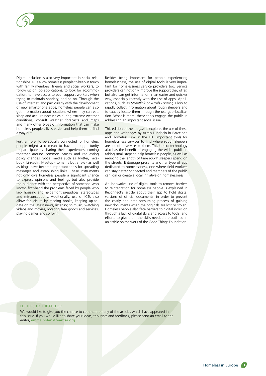Digital inclusion is also very important in social relationships. ICTs allow homeless people to keep in touch with family members, friends and social workers, to follow up on job applications, to look for accommodation, to have access to peer support workers when trying to maintain sobriety, and so on. Through the use of internet, and particularly with the development of new smartphone apps, homeless people can also get information about locations where they can eat, sleep and acquire necessities during extreme weather conditions, consult weather forecasts and maps and many other types of information that can make homeless people's lives easier and help them to find a way out.

Furthermore, to be socially connected for homeless people might also mean to have the opportunity to participate by sharing their experiences, coming together around common causes and requesting policy changes. Social media such as Twitter, Facebook, LinkedIn, Meetup - to name but a few - as well as blogs have become important tools for spreading messages and establishing links. These instruments not only give homeless people a significant chance to express opinions and feelings but also provide the audience with the perspective of someone who knows first-hand the problems faced by people who lack housing and helps fight prejudices, stereotypes and misconceptions. Additionally, use of ICTs also allow for leisure by reading books, keeping up-todate on the latest news, listening to music, watching videos and movies, locating free goods and services, playing games and so forth.

Besides being important for people experiencing homelessness, the use of digital tools is very important for homelessness service providers too. Service providers can not only improve the support they offer, but also can get information in an easier and quicker way, especially recently with the use of apps. Applications, such as *Streetlink* or *Arrels Locator,* allow to rapidly collect information about rough sleepers and to exactly locate them through the use geo-localisation. What is more, these tools engage the public in addressing an important social issue.

This edition of the magazine explores the use of these apps and webpages by Arrels Fundació in Barcelona and Homeless Link in the UK, important tools for homelessness services to find where rough sleepers are and offer services to them. This kind of technology also has the benefit of engaging the wider public in taking small steps to help homeless people, as well as reducing the length of time rough sleepers spend on the streets. Entourage presents another type of app dedicated to homelessness, one where field workers can stay better connected and members of the public can join or create a local initiative on homelessness.

An innovative use of digital tools to remove barriers to reintegration for homeless people is explained in Reconnect's article about their app to hold digital versions of official documents, in order to prevent the costly and time-consuming process of gaining new documents when the originals are lost or stolen. Homeless people also face barriers to digital inclusion through a lack of digital skills and access to tools, and efforts to give them the skills needed are outlined in an article on the work of the Good Things Foundation.

#### LETTERS TO THE EDITOR

We would like to give you the chance to comment on any of the articles which have appeared in this issue. If you would like to share your ideas, thoughts and feedback, please send an email to the editor, emma.nolan@feantsa.org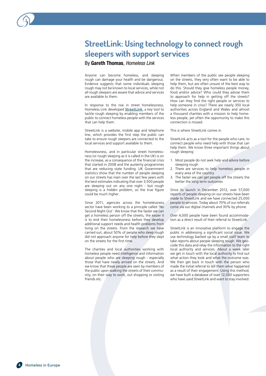<span id="page-3-0"></span>

## By **Gareth Thomas**, *Homeless Link*

Anyone can become homeless, and sleeping rough can damage your health and be dangerous. Evidence suggests that some individuals sleeping rough may not be known to local services, while not all rough sleepers are aware that advice and services are available to them.

In response to the rise in street homelessness, Homeless Link developed [StreetLink](http://streetlink.org.uk/), a key tool to tackle rough sleeping by enabling members of the public to connect homeless people with the services that can help them.

StreetLink is a website, mobile app and telephone line, which provides the first step the public can take to ensure rough sleepers are connected to the local services and support available to them.

Homelessness, and in particular street homelessness (or rough sleeping as it is called in the UK) is on the increase, as a consequence of the financial crisis that started in 2008 and the austerity programmes that are reducing state funding. UK Government statistics show that the number of people sleeping on our streets has risen over the last few years with the best estimates indicating that over 3,500 people are sleeping out on any one night - but rough sleeping is a hidden problem, so the true figure could be much higher.

Since 2011, agencies across the homelessness sector have been working to a principle called 'No Second Night Out'. We know that the faster we can get a homeless person off the streets, the easier it is to end their homelessness before they develop additional support needs and health problems from living on the streets. From the research we have carried out, about 50% of people who sleep rough did not approach anyone for help before they slept on the streets for the first time.

The charities and local authorities working with homeless people need intelligence and information about people who are sleeping rough - especially those that have newly arrived on the streets. And we know that these people are seen by members of the public upon walking the streets of their community, on their way to work, out shopping or visiting friends etc.

When members of the public see people sleeping on the streets, they very often want to be able to help them, but are often unsure of the best way to do this. Should they give homeless people money, food and/or advice? Who could they advise them to approach for help in getting off the streets? How can they find the right people or services to help someone in crisis? There are nearly 350 local authorities across England and Wales and almost a thousand charities with a mission to help homeless people, yet often the opportunity to make this connection is missed.

This is where StreetLink comes in.

StreetLink acts as a tool for the people who care, to connect people who need help with those that can help them. We know three important things about rough sleeping:

- 1. Most people do not seek help and advice before sleeping rough
- 2. There are services to help homeless people in every area of the country
- 3. The faster we can get people off the streets the better the long term outcomes

Since its launch in December 2012, over 57,000 reports of people sleeping on our streets have been made to StreetLink and we have connected 25,000 people to services. Today about 70% of our referrals come via our digital channels and 30% by phone.

Over 4,000 people have been found accommodation as a direct result of their referral to StreetLink.

StreetLink is an innovative platform to engage the public in addressing a significant social issue. We use technology backed up by a small staff team to take reports about people sleeping rough. We geocode this data and relay the information to the right local authority and services. About a week later we get in touch with the local authority to find out what action they took and what the outcome was. We then get back in touch with the person who made the initial referral to tell them what happened as a result of their engagement. Using this method, we have built a database of over 12,000 supporters who have used StreetLink and want to stay involved.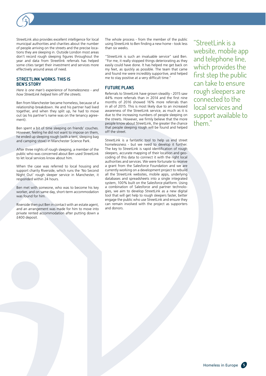

#### **STREETLINK WORKS: THIS IS BEN'S STORY**

*Here is one man's experience of homelessness - and how StreetLink helped him off the streets.*

Ben from Manchester became homeless, because of a relationship breakdown. He and his partner had lived together, and when they split up, he had to move out (as his partner's name was on the tenancy agreement).

Ben spent a bit of time sleeping on friends' couches. However, feeling he did not want to impose on them, he ended up sleeping rough (with a tent, sleeping bag and camping stove) in Manchester Science Park.

After three nights of rough sleeping, a member of the public who was concerned about Ben used StreetLink to let local services know about him.

When the case was referred to local housing and support charity Riverside, which runs the 'No Second Night Out' rough sleeper service in Manchester, it responded within 24 hours.

Ben met with someone, who was to become his key worker, and on same day, short-term accommodation was found for him.

Riverside then put Ben in contact with an estate agent, and an arrangement was made for him to move into private rented accommodation after putting down a £400 deposit.

The whole process - from the member of the public using StreetLink to Ben finding a new home - took less than six weeks.

"StreetLink is such an invaluable service" said Ben. "For me, it really stopped things deteriorating as they easily could have done. It has helped me get back on my feet, as quickly as possible. The team that came and found me were incredibly supportive, and helped me to stay positive at a very difficult time."

#### **FUTURE PLANS**

Referrals to StreetLink have grown steadily - 2015 saw 44% more referrals than in 2014 and the first nine months of 2016 showed 16% more referrals than in all of 2015. This is most likely due to an increased awareness of the StreetLink service, as much as it is due to the increasing numbers of people sleeping on the streets. However, we firmly believe that the more people know about StreetLink, the greater the chance that people sleeping rough will be found and helped off the street.

StreetLink is a fantastic tool to help us end street homelessness - but we need to develop it further. The key to StreetLink is rapid identification of rough sleepers, accurate mapping of their location and geocoding of this data to connect it with the right local authorities and services. We were fortunate to receive a grant from the Salesforce Foundation and we are currently working on a development project to rebuild all the StreetLink websites, mobile apps, underlying databases and spreadsheets into a single integrated system, 100% built on the Salesforce platform. Using a combination of Salesforce and partner technologies, we aim to develop StreetLink as a new digital tool that will get help to rough sleepers faster, better engage the public who use StreetLink and ensure they can remain involved with the project as supporters and donors.

"StreetLink is a website, mobile app and telephone line, which provides the first step the public can take to ensure rough sleepers are connected to the local services and support available to them."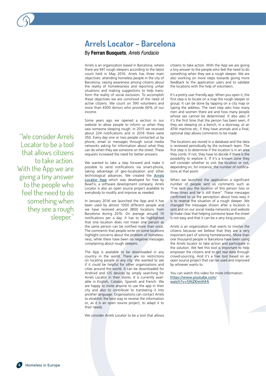# <span id="page-5-0"></span>**Arrels Locator – Barcelona**

## By **Ferran Busquets**, *Arrels Fundacio*

Arrels is an organization based in Barcelona, where there are 941 rough sleepers according to the latest count held in May 2016. Arrels has three main objectives: attending homeless people in the city of Barcelona, raising awareness among citizens about the reality of homelessness and reporting unfair situations and making suggestions to help transform the reality of social exclusion. To accomplish these objectives we are convinced of the need of active citizens. We count on 390 volunteers and more than 4300 donors who provide 66% of our income.

Some years ago we opened a section in our website to allow people to inform us when they saw someone sleeping rough. In 2015 we received about 224 notifications and in 2016 there were 350. Every day one or two people contacted us by phone, email or messages through social media networks asking for information about what they can do when they see someone on the street. These requests increased the need for better answers.

We wanted to take a step forward and make it possible to send notifications via smart-phone, taking advantage of geo-localization and other technological advances. We created the [Arrels](https://play.google.com/store/apps/details?id=com.basetis.arrelsApp&hl=en) [Locator App](https://play.google.com/store/apps/details?id=com.basetis.arrelsApp&hl=en) which was developed for free by BaseTis, a software development company. Arrels Locator is also an open source project available to everybody to modify and improve as needed.

In January 2016 we launched the App and it has been used by almost 1000 different people and we have received around 3800 locations from Barcelona during 2016. On average around 10 notifications per a day. It has to be highlighted that one location does not mean one person as the same person can be notified more than once. The comments that people write on some locations highlight concerns about the problem of homelessness, while there have been no negative messages complaining about rough sleepers.

The App is available to be downloaded in any country in the world. There are no restrictions on locating people in any city. We wanted to see if it could be helpful for other organizations and cities around the world. It can be downloaded for Android and iOS devices by simply searching for Arrels Locator in their stores. It is currently available in English, Catalan, Spanish and French. We are happy to invite anyone to use the app in their city and also to contribute to translating it into another language. Organizations can contact Arrels to establish the best way to receive the information or, as it is an open source project, to adapt it to their needs.

We consider Arrels Locator to be a tool that allows

citizens to take action. With the App we are giving a tiny answer to the people who feel the need to do something when they see a rough sleeper. We are also working on more steps towards giving more feedback to the application users and to validate the locations with the help of volunteers.

It's a pretty user friendly app. When you open it, the first step is to locate on a map the rough sleeper or group. It can be done by tapping on a city map or typing the address. The next step asks how many men and women there are and how many people whose sex cannot be determined. It also asks if it's the first time that the person has been seen, if they are sleeping on a bench, in a doorway, at an ATM machine etc, if they have animals and a final, optional step allows comments to be made.

The locations are stored in a database and the data is reviewed periodically by the outreach team. The first step is to determine if the location is in an area they comb. If not, they have to decide if there is the possibility to explore it. If it's a known zone they will consider whether to visit the location or not, depending on, for instance, the number of notifications at that point.

When we launched the application a significant number of people sent us comments such as "I've sent you the location of this person two or three times and he is still there". These messages confirmed to us the perception about how easy it is to reverse the situation of a rough sleeper. We changed the messages shown after a location is sent and on our social media networks and website to make clear that helping someone leave the street is not easy and that it can be a very long process.

Arrels is an organization that wants to involve the citizens because we believe that they are a very important part of solving homelessness. More than one thousand people in Barcelona have been using the Arrels locator to take action and participate in the solution. We feel this tool is important to help empower the citizens and to get real data through crowd-sourcing. And it's a free tool based on an open source project that can be used and improved by whoever wants to.

You can watch this video for more information: [https://www.youtube.com/](https://www.youtube.com/watch?v=5XtZKImIhFA) [watch?v=5XtZKImIhFA](https://www.youtube.com/watch?v=5XtZKImIhFA)

Locator to be a tool that allows citizens to take action. With the App we are giving a tiny answer to the people who feel the need to do something when they see a rough sleeper."

"We consider Arrels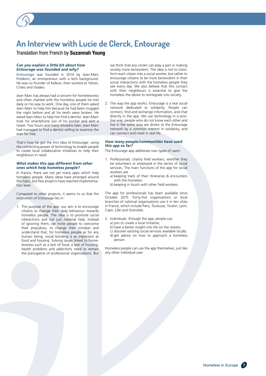# <span id="page-6-0"></span>**An Interview with Lucie de Clerck, Entourage**

## Translation from French by **Suzannah Young**

#### *Can you explain a little bit about how Entourage was founded and why?*

**[Entourage](http://www.entourage.social/)** was founded in 2014 by Jean-Marc Potdevin, an entrepreneur with a tech background. He was co-founder of Kelkoo, then worked at Yahoo, Criteo and Viadeo.

Jean-Marc has always had a concern for homelessness and often chatted with the homeless people he met daily on his way to work. One day, one of them asked Jean-Marc to help him because he had been mugged the night before and all his teeth were broken. He asked Jean-Marc to help him find a dentist. Jean-Marc took his smartphone out of his pocket and sent a tweet. Two hours and many retweets later, Jean-Marc had managed to find a dentist willing to examine the man for free.

That's how he got the first idea of Entourage: using the connecting power of technology to enable people to create local collaborative initiatives to help their neighbours in need.

#### *What makes this app different from other ones which help homeless people?*

In France, there are not yet many apps which help homeless people. Many ideas have emerged around this topic, but few projects have reached implementation level.

Compared to other projects, it seems to us that the innovation of Entourage lies in:

1. The purpose of the app: our aim is to encourage citizens to change their daily behaviour towards homeless people. The idea is to promote social interactions and not just material help. Instead of ignoring them, we invite people to overcome their prejudices, to change their mindset and understand that, for homeless people as for any human being, social bonding is as important as food and housing. Solving issues linked to homelessness such as a lack of food, a lack of housing, health problems and addictions need to remain the prerogative of professional organisations. But we think that any citizen can play a part in making society more benevolent. The idea is not to transform each citizen into a social worker, but rather to encourage citizens to be more benevolent in their social interactions with the homeless people they see every day. We also believe that this contact with their neighbours is essential to give the homeless the desire to reintegrate into society.

2. The way the app works: Entourage is a real social network dedicated to solidarity. People can connect, find and exchange information, and chat directly in the app. We use technology in a positive way; people who do not know each other and live in the same area are driven to the Entourage network by a common interest in solidarity, and can connect and meet in real life.

#### *How many people/communities have used this app so far?*

The Entourage app addresses two types of users:

- 1. Professionals: charity field workers, whether they be volunteers or employed in the sector of social services. The main functions of the app for social workers are
	- a) keeping track of their itineraries & encounters with the homeless
	- b) keeping in touch with other field workers.

The app for professionals has been available since October 2015. Forty-five organisations or local branches of national organisations use it in ten cities in France, which include Paris, Toulouse, Toulon, Lyon, Caen, Lille and Grenoble.

- 2. Individuals: through the app, people can
	- a) join or create a local initiative;
	- b) have a better insight into life on the streets;
	- c) discover existing social services available locally d) get advice on how to approach a homeless person.

Homeless people can use the app themselves, just like any other individual user.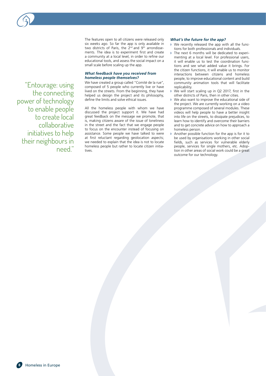"Entourage: using the connecting power of technology to enable people to create local collaborative initiatives to help their neighbours in need."

The features open to all citizens were released only six weeks ago. So far the app is only available in two districts of Paris, the  $2^{nd}$  and  $9^{th}$  arrondissements. The idea is to experiment first and create a community at a local level, in order to refine our educational tools, and assess the social impact on a small scale before scaling up the app.

#### *What feedback have you received from homeless people themselves?*

We have created a group called "Comité de la rue", composed of 5 people who currently live or have lived on the streets. From the beginning, they have helped us design the project and its philosophy, define the limits and solve ethical issues.

All the homeless people with whom we have discussed the project support it. We have had great feedback on the message we promote, that is, making citizens aware of the issue of loneliness in the street and the fact that we engage people to focus on the encounter instead of focusing on assistance. Some people we have talked to were at first reluctant regarding geolocation aspects; we needed to explain that the idea is not to locate homeless people but rather to locate citizen initiatives.

#### *What's the future for the app?*

- We recently released the app with all the functions for both professionals and individuals.
- ◗ The next 6 months will be dedicated to experimenting at a local level. For professional users, it will enable us to test the coordination functions and see what added value it brings. For the citizen functions, it will enable us to monitor interactions between citizens and homeless people, to improve educational content and build community animation tools that will facilitate replicability.
- We will start scaling up in Q2 2017, first in the other districts of Paris, then in other cities.
- ◗ We also want to improve the educational side of the project. We are currently working on a video programme composed of several modules. These videos will help people to have a better insight into life on the streets, to dissipate prejudices, to learn how to identify and overcome their barriers and to get concrete advice on how to approach a homeless person.
- ◗ Another possible function for the app is for it to be used by organisations working in other social fields, such as services for vulnerable elderly people, services for single mothers, etc. Adoption in other areas of social work could be a great outcome for our technology.

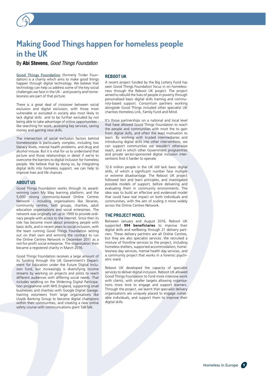# <span id="page-8-0"></span>**Making Good Things happen for homeless people in the UK**

By **Abi Stevens**, *Good Things Foundation*

[Good Things Foundation](https://www.goodthingsfoundation.org/) (formerly Tinder Foundation) is a charity which aims to make good things happen through digital technology. We believe that technology can help us address some of the key social challenges we face in the UK - and poverty and homelessness are part of that picture.

There is a great deal of crossover between social exclusion and digital exclusion, with those most vulnerable or excluded in society also most likely to lack digital skills and to be further excluded by not being able to take advantage of online opportunities like searching for work, accessing key services, saving money and gaining new skills.

The intersection of social exclusion factors behind homelessness is particularly complex, including low literacy levels, mental health problems, and drug and alcohol misuse. But it is vital for us to understand that picture and those relationships in detail if we're to overcome the barriers to digital inclusion for homeless people. We believe that by doing so, by integrating digital skills into homeless support, we can help to improve lives and life chances.

#### **ABOUT US**

Good Things Foundation works through its awardwinning Learn My Way learning platform, and the 5,000 strong community-based Online Centres Network - including organisations like libraries, community centres, faith groups, charities, adult education organisations and social enterprises. The network was originally set up in 1999 to provide ordinary people with access to the internet. Since then its role has become more about providing people with basic skills, and in recent years to social inclusion, with the team running Good Things Foundation setting out on their own and winning the contract to run the Online Centres Network in December 2011 as a not-for-profit social enterprise. The organisation then became a registered charity in March 2016.

Good Things Foundation receives a large amount of its funding through the UK Government's Department for Education under the Future Digital Inclusion fund, but increasingly is diversifying income streams by working on projects and pilots to reach different audiences with differing social needs. That includes working on the Widening Digital Participation programme with NHS England, supporting small businesses and charities with Google Digital Garage, training volunteers from large organisations like Lloyds Banking Group to become digital champions within their communities, and creating a new online safety course with communications giant TalkTalk.

#### **REBOOT UK**

A recent project funded by the Big Lottery Fund has seen Good Things Foundation focus in on homelessness through the Reboot UK project. The project aimed to rebuild the lives of people in poverty through personalised basic digital skills training and community-based support. Consortium partners working alongside Good Things included other specialist UK charities Homeless Link, Family Fund and Mind.

It's those partnerships on a national and local level that have allowed Good Things Foundation to reach the people and communities with most the to gain from digital skills, and often the least motivation to learn. By working with trusted intermediaries and introducing digital skills into other interventions, we can support communities we wouldn't otherwise reach, and in which other Government programmes and private sector-sponsored digital inclusion interventions find it harder to operate.

12.6 million people in the UK still lack basic digital skills, of which a significant number face multiple or extreme disadvantage. The Reboot UK project followed test and learn principles, and investigated possible models of support, before delivering and evaluating them in community environments. The idea was to build an effective and evidenced model that could have real impact on both individuals and communities, with the aim of scaling it more widely across the Online Centres Network.

#### **THE PROJECT MODEL**

Between January and August 2016, Reboot UK supported **994 beneficiaries** to improve their digital skills and wellbeing through 21 delivery partners. These delivery partners are all Online Centres, but they are also specialist services. We recruited a mixture of frontline services to the project, including homeless shelters, supported accommodation, homelessness day services, mental health day services, and a community project that works in a forensic psychiatric ward.

Reboot UK developed the capacity of specialist services to deliver digital inclusion. Reboot UK allowed Good Things Foundation to fund more intensive work with clients, with smaller targets allowing organisations more time to engage and support learners. Through the project, we learnt that specialist delivery organisations are uniquely placed to engage vulnerable individuals, and support them to improve their digital skills.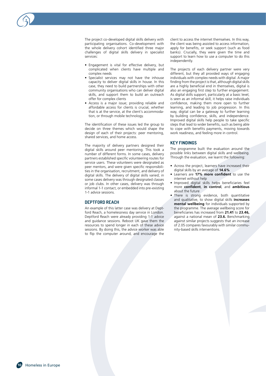The project co-developed digital skills delivery with participating organisations. Co-development with the whole delivery cohort identified three major challenges of digital skills delivery in specialist services:

- Engagement is vital for effective delivery, but complicated when clients have multiple and complex needs
- Specialist services may not have the inhouse capacity to deliver digital skills in house. In this case, they need to build partnerships with other community organisations who can deliver digital skills, and support them to build an outreach offer for complex clients
- Access is a major issue; providing reliable and affordable access for clients is crucial, whether that is at the service, at the client's accommodation, or through mobile technology.

The identification of these issues led the group to decide on three themes which would shape the design of each of their projects: peer mentoring, shared services, and home access.

The majority of delivery partners designed their digital skills around peer mentoring. This took a number of different forms. In some cases, delivery partners established specific volunteering routes for service users. These volunteers were designated as peer mentors, and were given specific responsibilities in the organisation, recruitment, and delivery of digital skills. The delivery of digital skills varied; in some cases delivery was through designated classes or job clubs. In other cases, delivery was through informal 1-1 contact, or embedded into pre-existing 1-1 advice sessions.

#### **DEPTFORD REACH**

An example of this latter case was delivery at Deptford Reach, a homelessness day service in London. Deptford Reach were already providing 1-1 advice and guidance sessions. Reboot UK gave them the resources to spend longer in each of these advice sessions. By doing this, the advice worker was able to flip the computer around, and encourage the

client to access the internet themselves. In this way, the client was being assisted to access information, apply for benefits, or seek support (such as food banks). Crucially, they were given the time and support to learn how to use a computer to do this independently.

The projects of each delivery partner were very different, but they all provided ways of engaging individuals with complex needs with digital. A major finding from the project is that, although digital skills are a highly beneficial end in themselves, digital is also an engaging first step to further engagement. As digital skills support, particularly at a basic level, is seen as an informal skill, it helps raise individuals confidence, making them more open to further learning, and leading to job progression. In this way, digital can be a gateway to further learning by building confidence, skills, and independence. Improved digital skills help people to take specific steps that lead to wider benefits, such as being able to cope with benefits payments, moving towards work readiness, and feeling more in control.

#### **KEY FINDINGS**

The programme built the evaluation around the possible links between digital skills and wellbeing. Through the evaluation, we learnt the following:

- Across the project, learners have increased their digital skills by an average of **14.6%**
- Learners are **17% more confident** to use the internet without help
- Improved digital skills helps beneficiaries feel more **confident**, **in control**, and **ambitious** about the future
- There is strong evidence, both quantitative and qualitative, to show digital skills **increases mental wellbeing** for individuals supported by the programme. The average wellbeing score for beneficiaries has increased from **21.41** to **23.46,** against a national mean of **23.6.** Benchmarking against similar projects suggests that an increase of 2.05 compares favourably with similar community-based skills interventions.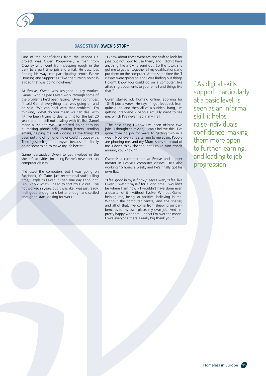

## **CASE STUDY: OWEN'S STORY**

One of the beneficiaries from the Reboot UK project was Owen Popperwell, a man from Crawley who went from sleeping rough in the park to a part time job and a flat. He describes finding his way into participating centre Evolve Housing and Support as "like the turning point in a road that was going nowhere."

At Evolve, Owen was assigned a key worker, Gamel, who helped Owen work through some of the problems he'd been facing. Owen continues: "I told Gamel everything that was going on and he said "We can deal with that problem". I'm thinking, 'What do you mean we can deal with it? I've been trying to deal with it for the last 20 years and I'm still not dealing with it'. But Gamel made a list and we just started going through it, making phone calls, writing letters, sending emails, helping me out - doing all the things I'd been putting off or ignoring or couldn't cope with. Then I just felt good in myself because I'm finally doing something to make my life better."

Gamel persuaded Owen to get involved in the shelter's activities, including Evolve's new peer-run computer classes.

"I'd used the computers but I was going on Facebook, YouTube, just recreational stuff, killing time," explains Owen. "Then one day I thought, 'You know what? I need to sort my CV out'. I've not worked in years but it was like I was just ready. I felt good enough and better enough and settled enough to start looking for work.

"I knew about these websites and stuff to look for jobs but not how to use them, and I didn't have anything like a CV to send out. So the tutor, she got me to gather together all my qualifications and put them on the computer. At the same time the IT classes were going on and I was finding out things I didn't know you could do on a computer, like attaching documents to your email and things like that."

Owen started job hunting online, applying for 10-15 jobs a week. He says: "I got feedback from quite a lot, and then all of a sudden, bang, I'm getting interviews - people actually want to see me, which I've never had in my life!

"The next thing I know I've been offered two jobs! I thought to myself, 'I can't believe this'. I've gone from no job for years to getting two in a week. Now everyone's talking to me again. People are phoning me, and my Mum, she's so proud of me. I don't think she thought I could turn myself around, you know?"

Owen is a customer rep at Evolve and a peer mentor in Evolve's computer classes. He's also working 16 hours a week, and he's finally got his own flat.

"I feel good in myself now," says Owen, "I feel like Owen. I wasn't myself for a long time. I wouldn't be where I am now - I wouldn't have done even a quarter of it - without Evolve. Without Gamel helping me, being so positive, believing in me. Without the computer centre, and the shelter, and all of that. I've come from sleeping on park benches to my own place, my own job. And I'm pretty happy with that - in fact I'm over the moon. I owe everyone there a really big thank you."

 "As digital skills support, particularly at a basic level, is seen as an informal skill, it helps raise individuals confidence, making them more open to further learning, and leading to job progression."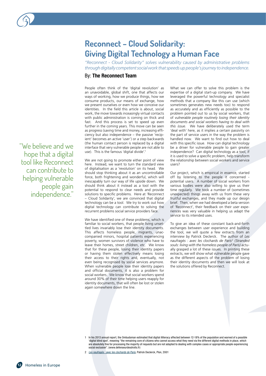# <span id="page-11-0"></span>**Reconnect – Cloud Solidarity: Giving Digital Technology a Human Face**

*"Reconnect - Cloud Solidarity" solves vulnerability caused by administrative problems through digitally competent social work that speeds up people's journey to independence.* 

# By: **The Reconnect Team**

People often think of the 'digital revolution' as an unavoidable, global shift, one that affects our ways of working, how we produce things, how we consume products, our means of exchange, how we present ourselves or even how we conceive our identities. In the field this article is about, social work, the move towards inceasingly virtual contacts with public administration is coming on thick and fast. And this process is set to speed up even further in the coming years. This move can be seen as progress (saving time and money, increasing efficiency but also independence – the passive 'recipient' becomes an active 'user') or a step backwards (the human contact person is replaced by a digital interface that very vulnerable people are not able to use). This is the famous 'digital divide'.<sup>1</sup>

We are not going to promote either point of view here. Instead, we want to turn the standard view of digitalisation as a 'revolution' on its head. We should stop thinking about it as an uncontrollable force, both frightening and wonderful, which will inescapably turn our way of life upside down. We should think about it instead as a tool with the potential to respond to clear needs and provide solutions to specific problems. Here at 'Reconnect – Cloud Solidarity', we are convinced that digital technology can be a tool. We try to work out how digital technology can contribute to solving the recurrent problems social service providers face.

We have identified one of these problems, which is familiar to social workers, that people living unsettled lives invariably lose their identity documents. This affects homeless people, migrants, unaccompanied minors, hospital patients experiencing poverty, women survivors of violence who have to leave their homes, street children, etc. We know that for these people, losing their identity papers or having them stolen effectively means losing their access to their rights and, eventually, not even being recognised by social services anymore. When vulnerable people lose their identity papers and official documents, it is also a problem for social workers. We know that social workers spend around 30% of their time helping users reapply for identity documents, that will often be lost or stolen again somewhere down the line.

What we can offer to solve this problem is the expertise of a digital start-up company. We have leveraged the powerful technology and specialist methods that a company like this can use (which sometimes generates new needs too) to respond as accurately and as efficiently as possible to the problem pointed out to us by social workers, that of *vulnerable people routinely losing their identity documents and social workers having to deal with this issue.* We have deliberately used the term 'deal with' here, as it implies a certain passivity on the part of service users in the way the problem is handled now. We want to find out how to deal with this specific issue. How can digital technology be a driver for vulnerable people to gain greater independence? Can digital technology as a tool, if it is used to solve a specific problem, help transform the relationship between social workers and service users?

Our project, which is empirical in essence, started off by listening to the people it concerned potential users. A number of social workers from various bodies were also willing to give us their time regularly. We took a number of (sometimes unexpected) things away with us from these very fruitful exchanges, and they made up our design brief. Then, when we had developed a beta version of 'Reconnect', their feedback on their user experiences was very valuable in helping us adapt the service to its intended uses.

To give an idea of these constant back-and-forth exchanges between user experience and building the tool, we will quote a few extracts from an interview by Patrick Declerck. The author of *Les naufragés : avec les clochards de Paris*<sup>2</sup>  *(Stranded souls: living with the homeless people of Paris)* actually grasped a lot of these issues. In printing these extracts, we will show what vulnerable people gave as the different aspects of the problem of losing their identity documents and then we will look at the solutions offered by Reconnect.

- 1 In his 2013 annual report, the Ombudsman estimated that digital illiteracy affected between 12-18% of the population and warned of a possible 'digital blind spot', meaning "the remaining core of citizens who cannot access what they need via the different digital methods in place, which are absolutely fine for processing the majority of requests but are not adapted to dealing with complex cases or appropriate people experiencing social exclusion". (www.defenseurdesdroits.fr)
- 2 *Les naufragés : avec les clochards de Paris*, Patrick Declerck, Plon, 2001

"We believe and we hope that a digital tool like Reconnect can contribute to helping vulnerable people gain independence."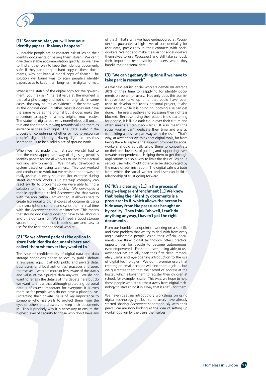### **(1) "Sooner or later, you will lose your identity papers. It always happens."**

Vulnerable people are at constant risk of losing their identity documents or having them stolen. We can't give them stable accommodation quickly, so we have to find another way to keep their identity documents safe. If they can't keep a hard copy of these docu ments, why not keep a digital copy of them? The solution we found was to scan people's identity papers so as to keep them long-term in digital format.

What is the status of the digital copy for the govern ment, you may ask? Its real value at the moment is that of a photocopy and not of an original. In some cases, the copy counts as evidence in the same way as the original does, in other cases it does not have the same value as the original but it does make the procedure to apply for a new original much easier. The status of digital copies is nonetheless still uncer tain and the trend is moving towards valuing them as evidence in their own right. The State is also in the process of considering whether or not to recognise people's digital identity. Having digital copies thus seemed to us to be a solid piece of ground work.

When we had made this first step, we still had to find the most appropriate way of digitising people's identity papers for social workers to use in their actual working environments. We initially developed a system based on using scanners. This tool worked and continues to work but we realised that it was not really usable in every situation (for example during street outreach work). Our start-up company can react swiftly to problems so we were able to find a solution to this difficulty quickly. We developed a mobile application called *Reconnect Pro* that works with the application *CamScanner*. It allows users to create high-quality digital copies of documents using their smartphone camera and syncs them in real time with the *Reconnect* computer interface. This means that storing documents does not have to be laborious and time-consuming. We still need a good storage space, though - one that is both secure and easy to use for the user and the social worker.

#### **(2) "So we offered patients the option to store their identity documents here and collect them whenever they wanted to."**

The issue of confidentiality of digital data and data storage conditions began to occupy public debate a few years ago. It affects public and private data, businesses' and local authorities' practices and users themselves – who are more or less aware of the status and value of their private data anyway. We do not want to rehash the details of this debate here but do we want to stress that although protecting personal data is of course important for everyone, it is even more so for people who do not have a place to live. Protecting their private life is of key importance to someone who has walls to protect them from the eyes of others and drawers to keep their documents in. This is precisely why it is necessary to ensure the highest level of security to those who don't have any

of that! That's why we have endeavoured at *Recon nect* to guarantee a high level of confidentiality for user data, particularly in their contacts with social workers. We hope to make it easier for social workers themselves to use *Reconnect* and still take seriously their important responsibility to users when they handle their personal data. .

#### **(3) "We can't get anything done if we have to take part in research"**

As we said earlier, social workers devote on average 30% of their time to reapplying for identity docu ments on behalf of users. Not only does this admin istrative task take up time that could have been used to develop the user's personal project, it also means that while it is going on, nothing else can get done. The user's pathway to accessing their rights is blocked. Because losing their papers is disheartening for people, it is like a dark cloud over their future and often means a step backwards. It also means the social worker can't dedicate their time and energy to building a positive pathway with the user. That's why, at *Reconnect* we think that digital tools, far from being there to replace the support provided by social workers, should actually allow them to concentrate on their core business of guiding and supporting users towards independence. Helping them to get through applications is also a way to limit the risk of 'losing' a service user who might otherwise be discouraged by the maze of administration. The digital safe is a basis from which the social worker and user can build a relationship of trust going forward.

#### **(4) "It's a clear sign […] in the process of rough-sleeper entrenchment […] We know that losing their identity documents is a precursor to it, which allows the person to hide away from the pressures brought on by reality. They think "oh well, I can't do anything anyway, I haven't got the right documents".**

From our humble standpoint of working on a specific and clear problem that we try to deal with from every angle (vulnerable people losing their official docu ments) we think digital technology offers practical opportunities for people to become autonomous, even empowered. For some users, being able to use *Reconnect* has actually been their first clear, immedi ately useful and eye-opening introduction to the use of digital technologies. We don't promise users that creating an email account will find them a job … but we guarantee them that their proof of address at the hostel, which allows them to register their children at school, for example, is safe. This way, we hope to help those people who are furthest away from digital tech nology to start using it in a way that is useful for them.

We haven't set up introductory workshops on using digital technology yet but some users have already started sharing *Reconnect* spontaneously with their peers. We are now looking at the idea of setting up workshops run by the users themselves.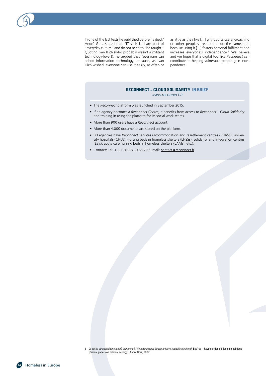In one of the last texts he published before he died,<sup>3</sup> André Gorz stated that "IT skills […] are part of "everyday culture" and do not need to "be taught". Quoting Ivan Illich (who probably wasn't a militant technology-lover!), he argued that *"*everyone can adopt information technology, because, as Ivan Illich wished, everyone can use it easily, as often or

as little as they like […] without its use encroaching on other people's freedom to do the same; and because using it […] fosters personal fulfilment and increases everyone's independence.*"* We believe and we hope that a digital tool like *Reconnect* can contribute to helping vulnerable people gain independence.

# **RECONNECT – CLOUD SOLIDARITY IN BRIEF**

*[www.reconnect.fr](http://www.reconnect.fr)*

- The *Reconnect* platform was launched in September 2015.
- If an agency becomes a *Reconnect Centre,* it benefits from access to *Reconnect Cloud Solidarity*  and training in using the platform for its social work teams.
- More than 900 users have a *Reconnect* account.
- More than 4,000 documents are stored on the platform.
- 80 agencies have *Reconnect* services (accommodation and resettlement centres (CHRSs), university hospitals (CHUs), nursing beds in homeless shelters (LHSSs), solidarity and integration centres (ESIs), acute care nursing beds in homeless shelters (LAMs), etc.).
- Contact: Tel: +33 (0)1 58 30 55 29 / Email: [contact@reconnect.fr](mailto:contact@reconnect.fr)

<sup>3</sup> *La sortie du capitalisme a déjà commencé [We have already begun to leave capitalism behind]*, Eco'rev – Revue critique d'écologie politique [Critical papers on political ecology], André Gorz, 2007